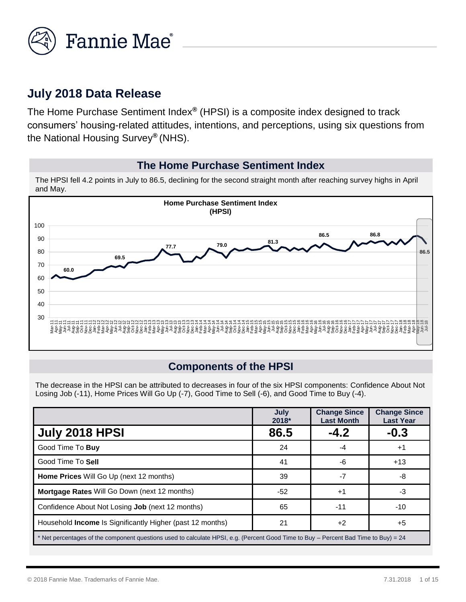

## **July 2018 Data Release**

The Home Purchase Sentiment Index*®* (HPSI) is a composite index designed to track consumers' housing-related attitudes, intentions, and perceptions, using six questions from the National Housing Survey*®* (NHS).

#### **The Home Purchase Sentiment Index**

The HPSI fell 4.2 points in July to 86.5, declining for the second straight month after reaching survey highs in April and May.



#### **Components of the HPSI**

The decrease in the HPSI can be attributed to decreases in four of the six HPSI components: Confidence About Not Losing Job (-11), Home Prices Will Go Up (-7), Good Time to Sell (-6), and Good Time to Buy (-4).

|                                                                                                                                     | July<br>2018* | <b>Change Since</b><br><b>Last Month</b> | <b>Change Since</b><br><b>Last Year</b> |
|-------------------------------------------------------------------------------------------------------------------------------------|---------------|------------------------------------------|-----------------------------------------|
| <b>July 2018 HPSI</b>                                                                                                               | 86.5          | $-4.2$                                   | $-0.3$                                  |
| Good Time To Buy                                                                                                                    | 24            | -4                                       | $^{\mathrm{+1}}$                        |
| Good Time To Sell                                                                                                                   | 41            | -6                                       | $+13$                                   |
| Home Prices Will Go Up (next 12 months)                                                                                             | 39            | -7                                       | -8                                      |
| Mortgage Rates Will Go Down (next 12 months)                                                                                        | -52           | $+1$                                     | -3                                      |
| Confidence About Not Losing <b>Job</b> (next 12 months)                                                                             | 65            | $-11$                                    | -10                                     |
| Household Income Is Significantly Higher (past 12 months)                                                                           | 21            | $+2$                                     | $+5$                                    |
| * Net percentages of the component questions used to calculate HPSI, e.g. (Percent Good Time to Buy – Percent Bad Time to Buy) = 24 |               |                                          |                                         |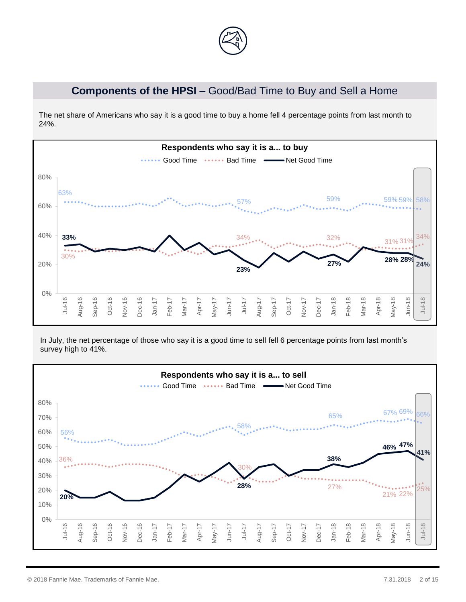

### **Components of the HPSI –** Good/Bad Time to Buy and Sell a Home

The net share of Americans who say it is a good time to buy a home fell 4 percentage points from last month to 24%.



In July, the net percentage of those who say it is a good time to sell fell 6 percentage points from last month's survey high to 41%.

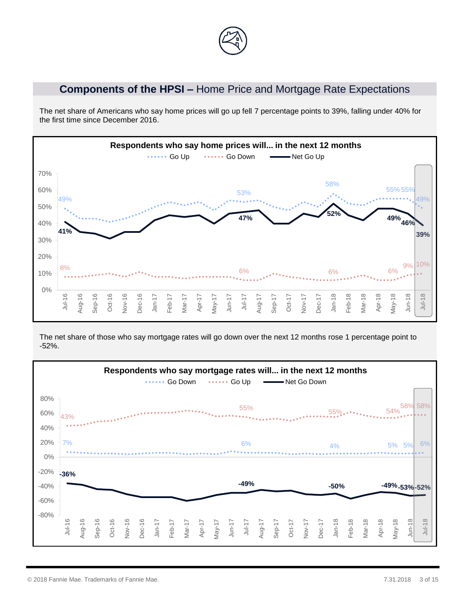## **Components of the HPSI –** Home Price and Mortgage Rate Expectations

The net share of Americans who say home prices will go up fell 7 percentage points to 39%, falling under 40% for the first time since December 2016.



The net share of those who say mortgage rates will go down over the next 12 months rose 1 percentage point to -52%.

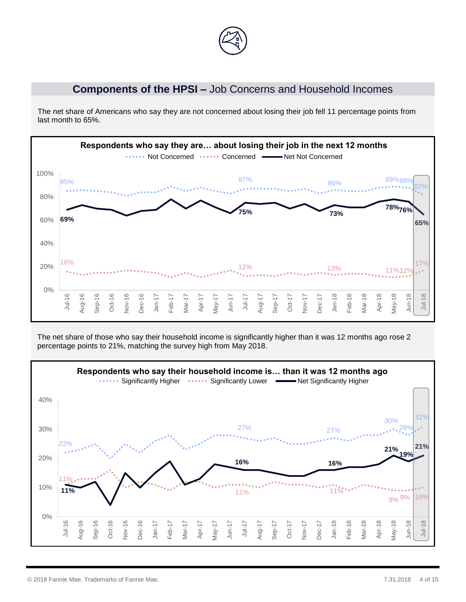

#### **Components of the HPSI –** Job Concerns and Household Incomes

The net share of Americans who say they are not concerned about losing their job fell 11 percentage points from last month to 65%.



The net share of those who say their household income is significantly higher than it was 12 months ago rose 2 percentage points to 21%, matching the survey high from May 2018.

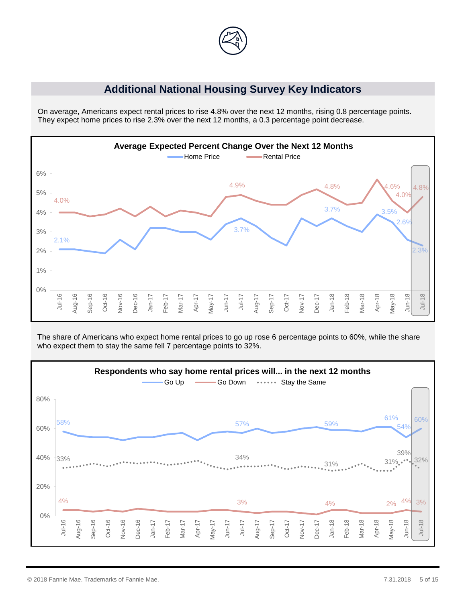

#### **Additional National Housing Survey Key Indicators**

On average, Americans expect rental prices to rise 4.8% over the next 12 months, rising 0.8 percentage points. They expect home prices to rise 2.3% over the next 12 months, a 0.3 percentage point decrease.



The share of Americans who expect home rental prices to go up rose 6 percentage points to 60%, while the share who expect them to stay the same fell 7 percentage points to 32%.

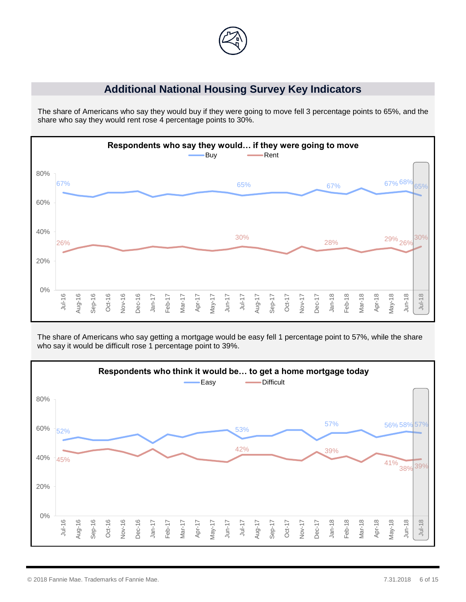

### **Additional National Housing Survey Key Indicators**

The share of Americans who say they would buy if they were going to move fell 3 percentage points to 65%, and the share who say they would rent rose 4 percentage points to 30%.



The share of Americans who say getting a mortgage would be easy fell 1 percentage point to 57%, while the share who say it would be difficult rose 1 percentage point to 39%.

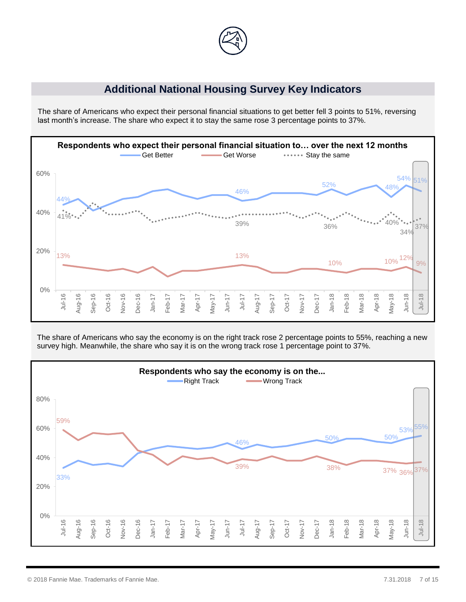

#### **Additional National Housing Survey Key Indicators**

The share of Americans who expect their personal financial situations to get better fell 3 points to 51%, reversing last month's increase. The share who expect it to stay the same rose 3 percentage points to 37%.



The share of Americans who say the economy is on the right track rose 2 percentage points to 55%, reaching a new survey high. Meanwhile, the share who say it is on the wrong track rose 1 percentage point to 37%.

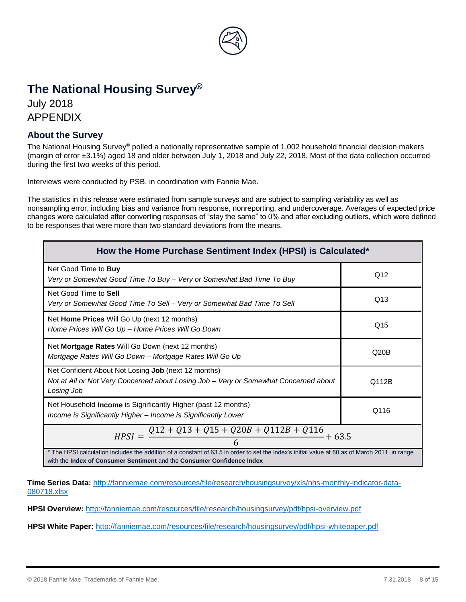

# **The National Housing Survey®**

July 2018 APPENDIX

#### **About the Survey**

The National Housing Survey® polled a nationally representative sample of 1,002 household financial decision makers (margin of error ±3.1%) aged 18 and older between July 1, 2018 and July 22, 2018. Most of the data collection occurred during the first two weeks of this period.

Interviews were conducted by PSB, in coordination with Fannie Mae.

The statistics in this release were estimated from sample surveys and are subject to sampling variability as well as nonsampling error, including bias and variance from response, nonreporting, and undercoverage. Averages of expected price changes were calculated after converting responses of "stay the same" to 0% and after excluding outliers, which were defined to be responses that were more than two standard deviations from the means.

| How the Home Purchase Sentiment Index (HPSI) is Calculated*                                                                                                                                                             |       |  |  |
|-------------------------------------------------------------------------------------------------------------------------------------------------------------------------------------------------------------------------|-------|--|--|
| Net Good Time to <b>Buy</b><br>Very or Somewhat Good Time To Buy - Very or Somewhat Bad Time To Buy                                                                                                                     | Q12   |  |  |
| Net Good Time to Sell<br>Very or Somewhat Good Time To Sell – Very or Somewhat Bad Time To Sell                                                                                                                         | Q13   |  |  |
| Net Home Prices Will Go Up (next 12 months)<br>Home Prices Will Go Up - Home Prices Will Go Down                                                                                                                        | Q15   |  |  |
| Net Mortgage Rates Will Go Down (next 12 months)<br>Mortgage Rates Will Go Down - Mortgage Rates Will Go Up                                                                                                             | Q20B  |  |  |
| Net Confident About Not Losing Job (next 12 months)<br>Not at All or Not Very Concerned about Losing Job – Very or Somewhat Concerned about<br>Losing Job                                                               | Q112B |  |  |
| Net Household <b>Income</b> is Significantly Higher (past 12 months)<br>Income is Significantly Higher - Income is Significantly Lower                                                                                  | Q116  |  |  |
| $Q12 + Q13 + Q15 + Q20B + Q112B + Q116$<br>$HPSI =$<br>$+63.5$                                                                                                                                                          |       |  |  |
| * The HPSI calculation includes the addition of a constant of 63.5 in order to set the index's initial value at 60 as of March 2011, in range<br>with the Index of Consumer Sentiment and the Consumer Confidence Index |       |  |  |

**Time Series Data:** [http://fanniemae.com/resources/file/research/housingsurvey/xls/nhs-monthly-indicator-data-](http://fanniemae.com/resources/file/research/housingsurvey/xls/nhs-monthly-indicator-data-080718.xlsx)[080718.xlsx](http://fanniemae.com/resources/file/research/housingsurvey/xls/nhs-monthly-indicator-data-080718.xlsx)

**HPSI Overview:** <http://fanniemae.com/resources/file/research/housingsurvey/pdf/hpsi-overview.pdf>

**HPSI White Paper:** <http://fanniemae.com/resources/file/research/housingsurvey/pdf/hpsi-whitepaper.pdf>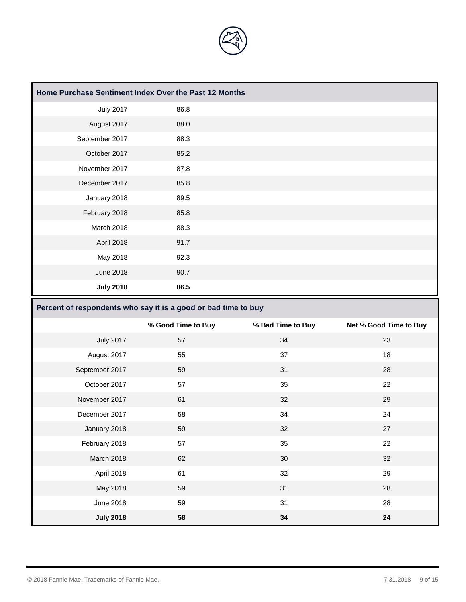

| Home Purchase Sentiment Index Over the Past 12 Months |      |  |
|-------------------------------------------------------|------|--|
| <b>July 2017</b>                                      | 86.8 |  |
| August 2017                                           | 88.0 |  |
| September 2017                                        | 88.3 |  |
| October 2017                                          | 85.2 |  |
| November 2017                                         | 87.8 |  |
| December 2017                                         | 85.8 |  |
| January 2018                                          | 89.5 |  |
| February 2018                                         | 85.8 |  |
| March 2018                                            | 88.3 |  |
| April 2018                                            | 91.7 |  |
| May 2018                                              | 92.3 |  |
| <b>June 2018</b>                                      | 90.7 |  |
| <b>July 2018</b>                                      | 86.5 |  |

#### **Percent of respondents who say it is a good or bad time to buy**

|                  | % Good Time to Buy | % Bad Time to Buy | Net % Good Time to Buy |
|------------------|--------------------|-------------------|------------------------|
| <b>July 2017</b> | 57                 | 34                | 23                     |
| August 2017      | 55                 | 37                | 18                     |
| September 2017   | 59                 | 31                | 28                     |
| October 2017     | 57                 | 35                | 22                     |
| November 2017    | 61                 | 32                | 29                     |
| December 2017    | 58                 | 34                | 24                     |
| January 2018     | 59                 | 32                | 27                     |
| February 2018    | 57                 | 35                | 22                     |
| March 2018       | 62                 | 30                | 32                     |
| April 2018       | 61                 | 32                | 29                     |
| May 2018         | 59                 | 31                | 28                     |
| June 2018        | 59                 | 31                | 28                     |
| <b>July 2018</b> | 58                 | 34                | 24                     |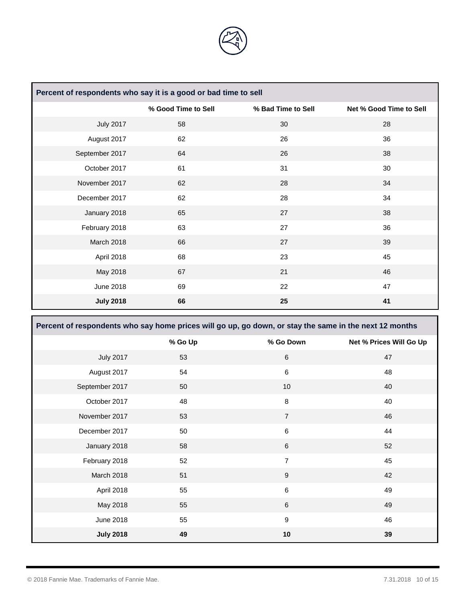

| Percent of respondents who say it is a good or bad time to sell |                     |                    |                         |
|-----------------------------------------------------------------|---------------------|--------------------|-------------------------|
|                                                                 | % Good Time to Sell | % Bad Time to Sell | Net % Good Time to Sell |
| <b>July 2017</b>                                                | 58                  | 30                 | 28                      |
| August 2017                                                     | 62                  | 26                 | 36                      |
| September 2017                                                  | 64                  | 26                 | 38                      |
| October 2017                                                    | 61                  | 31                 | 30                      |
| November 2017                                                   | 62                  | 28                 | 34                      |
| December 2017                                                   | 62                  | 28                 | 34                      |
| January 2018                                                    | 65                  | 27                 | 38                      |
| February 2018                                                   | 63                  | 27                 | 36                      |
| March 2018                                                      | 66                  | 27                 | 39                      |
| April 2018                                                      | 68                  | 23                 | 45                      |
| May 2018                                                        | 67                  | 21                 | 46                      |
| June 2018                                                       | 69                  | 22                 | 47                      |
| <b>July 2018</b>                                                | 66                  | 25                 | 41                      |

| Percent of respondents who say home prices will go up, go down, or stay the same in the next 12 months |         |                |                         |  |
|--------------------------------------------------------------------------------------------------------|---------|----------------|-------------------------|--|
|                                                                                                        | % Go Up | % Go Down      | Net % Prices Will Go Up |  |
| <b>July 2017</b>                                                                                       | 53      | $6\phantom{1}$ | 47                      |  |
| August 2017                                                                                            | 54      | 6              | 48                      |  |
| September 2017                                                                                         | 50      | 10             | 40                      |  |
| October 2017                                                                                           | 48      | 8              | 40                      |  |
| November 2017                                                                                          | 53      | $\overline{7}$ | 46                      |  |
| December 2017                                                                                          | 50      | 6              | 44                      |  |
| January 2018                                                                                           | 58      | 6              | 52                      |  |
| February 2018                                                                                          | 52      | $\overline{7}$ | 45                      |  |
| March 2018                                                                                             | 51      | $9\,$          | 42                      |  |
| April 2018                                                                                             | 55      | $\,6\,$        | 49                      |  |
| May 2018                                                                                               | 55      | $6\phantom{1}$ | 49                      |  |
| June 2018                                                                                              | 55      | 9              | 46                      |  |
| <b>July 2018</b>                                                                                       | 49      | 10             | 39                      |  |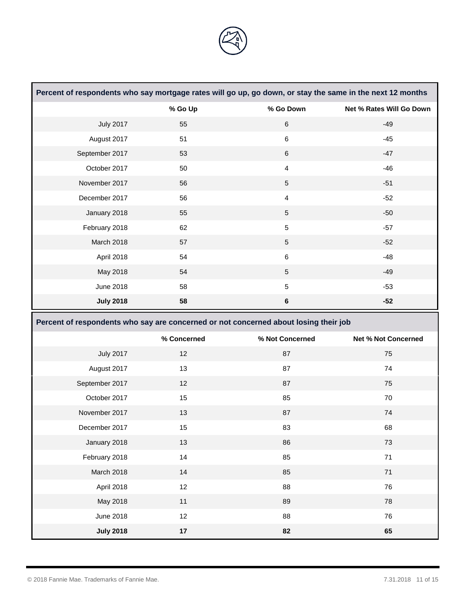

| Percent of respondents who say mortgage rates will go up, go down, or stay the same in the next 12 months |                                                                                      |                 |                            |
|-----------------------------------------------------------------------------------------------------------|--------------------------------------------------------------------------------------|-----------------|----------------------------|
|                                                                                                           | % Go Up                                                                              | % Go Down       | Net % Rates Will Go Down   |
| <b>July 2017</b>                                                                                          | 55                                                                                   | $\,6\,$         | $-49$                      |
| August 2017                                                                                               | 51                                                                                   | $\,6\,$         | $-45$                      |
| September 2017                                                                                            | 53                                                                                   | $\,6\,$         | $-47$                      |
| October 2017                                                                                              | 50                                                                                   | $\overline{4}$  | $-46$                      |
| November 2017                                                                                             | 56                                                                                   | $\sqrt{5}$      | $-51$                      |
| December 2017                                                                                             | 56                                                                                   | 4               | $-52$                      |
| January 2018                                                                                              | 55                                                                                   | $\sqrt{5}$      | $-50$                      |
| February 2018                                                                                             | 62                                                                                   | $\sqrt{5}$      | $-57$                      |
| March 2018                                                                                                | 57                                                                                   | $\sqrt{5}$      | $-52$                      |
| April 2018                                                                                                | 54                                                                                   | $\,6$           | $-48$                      |
| May 2018                                                                                                  | 54                                                                                   | $\sqrt{5}$      | $-49$                      |
| <b>June 2018</b>                                                                                          | 58                                                                                   | $\sqrt{5}$      | $-53$                      |
| <b>July 2018</b>                                                                                          | 58                                                                                   | $\bf 6$         | $-52$                      |
|                                                                                                           |                                                                                      |                 |                            |
|                                                                                                           | Percent of respondents who say are concerned or not concerned about losing their job |                 |                            |
|                                                                                                           | % Concerned                                                                          | % Not Concerned | <b>Net % Not Concerned</b> |
| <b>July 2017</b>                                                                                          | 12                                                                                   | 87              | 75                         |
| August 2017                                                                                               | 13                                                                                   | 87              | 74                         |
| September 2017                                                                                            | 12                                                                                   | 87              | 75                         |
| October 2017                                                                                              | 15                                                                                   | 85              | 70                         |
| November 2017                                                                                             | 13                                                                                   | 87              | 74                         |
| December 2017                                                                                             | 15                                                                                   | 83              | 68                         |
| January 2018                                                                                              | 13                                                                                   | 86              | 73                         |
| February 2018                                                                                             | 14                                                                                   | 85              | 71                         |
| March 2018                                                                                                | 14                                                                                   | 85              | $71$                       |
| April 2018                                                                                                | 12                                                                                   | 88              | 76                         |
| May 2018                                                                                                  | 11                                                                                   | 89              | 78                         |
| <b>June 2018</b>                                                                                          | 12                                                                                   | 88              | 76                         |

٦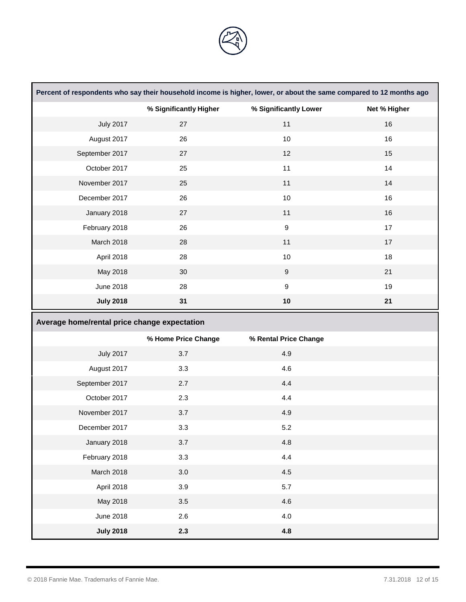

|                                              | Percent of respondents who say their household income is higher, lower, or about the same compared to 12 months ago |                       |              |
|----------------------------------------------|---------------------------------------------------------------------------------------------------------------------|-----------------------|--------------|
|                                              | % Significantly Higher                                                                                              | % Significantly Lower | Net % Higher |
| <b>July 2017</b>                             | 27                                                                                                                  | 11                    | 16           |
| August 2017                                  | 26                                                                                                                  | 10                    | 16           |
| September 2017                               | 27                                                                                                                  | 12                    | 15           |
| October 2017                                 | 25                                                                                                                  | 11                    | 14           |
| November 2017                                | 25                                                                                                                  | 11                    | 14           |
| December 2017                                | 26                                                                                                                  | 10                    | 16           |
| January 2018                                 | 27                                                                                                                  | 11                    | 16           |
| February 2018                                | 26                                                                                                                  | $\boldsymbol{9}$      | 17           |
| March 2018                                   | 28                                                                                                                  | 11                    | 17           |
| April 2018                                   | 28                                                                                                                  | $10$                  | 18           |
| May 2018                                     | 30                                                                                                                  | $\boldsymbol{9}$      | 21           |
| <b>June 2018</b>                             | 28                                                                                                                  | $\boldsymbol{9}$      | 19           |
| <b>July 2018</b>                             | 31                                                                                                                  | 10                    | 21           |
|                                              |                                                                                                                     |                       |              |
| Average home/rental price change expectation |                                                                                                                     |                       |              |
|                                              | % Home Price Change                                                                                                 | % Rental Price Change |              |
| <b>July 2017</b>                             | 3.7                                                                                                                 | 4.9                   |              |
| August 2017                                  | 3.3                                                                                                                 | 4.6                   |              |
| September 2017                               | 2.7                                                                                                                 | 4.4                   |              |
| October 2017                                 | 2.3                                                                                                                 | 4.4                   |              |
| November 2017                                | 3.7                                                                                                                 | 4.9                   |              |
| December 2017                                | 3.3                                                                                                                 | 5.2                   |              |
| January 2018                                 | 3.7                                                                                                                 | 4.8                   |              |
| February 2018                                | 3.3                                                                                                                 | 4.4                   |              |
| March 2018                                   | 3.0                                                                                                                 | 4.5                   |              |
| April 2018                                   | 3.9                                                                                                                 | 5.7                   |              |
| May 2018                                     | 3.5                                                                                                                 | 4.6                   |              |
| <b>June 2018</b>                             | 2.6                                                                                                                 | 4.0                   |              |

Ť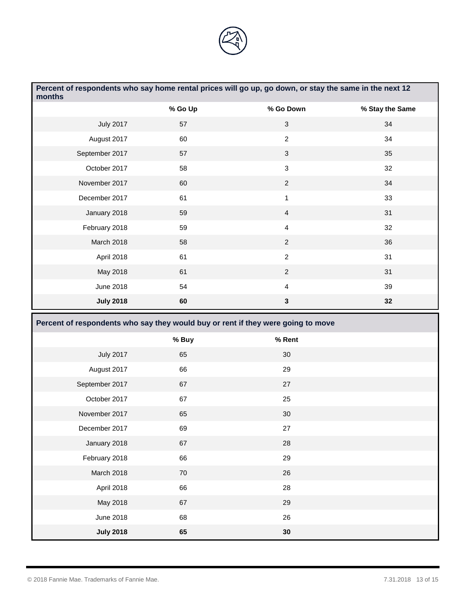

| months           | Percent of respondents who say home rental prices will go up, go down, or stay the same in the next 12 |                           |                 |
|------------------|--------------------------------------------------------------------------------------------------------|---------------------------|-----------------|
|                  | % Go Up                                                                                                | % Go Down                 | % Stay the Same |
| <b>July 2017</b> | 57                                                                                                     | $\ensuremath{\mathsf{3}}$ | 34              |
| August 2017      | 60                                                                                                     | $\overline{2}$            | 34              |
| September 2017   | 57                                                                                                     | $\ensuremath{\mathsf{3}}$ | 35              |
| October 2017     | 58                                                                                                     | $\sqrt{3}$                | 32              |
| November 2017    | 60                                                                                                     | $\overline{2}$            | 34              |
| December 2017    | 61                                                                                                     | $\mathbf{1}$              | 33              |
| January 2018     | 59                                                                                                     | $\overline{4}$            | 31              |
| February 2018    | 59                                                                                                     | $\overline{\mathbf{4}}$   | 32              |
| March 2018       | 58                                                                                                     | $\overline{2}$            | 36              |
| April 2018       | 61                                                                                                     | $\overline{2}$            | 31              |
| May 2018         | 61                                                                                                     | $\sqrt{2}$                | 31              |
| <b>June 2018</b> | 54                                                                                                     | 4                         | 39              |
| <b>July 2018</b> | 60                                                                                                     | $\mathbf 3$               | 32              |
|                  |                                                                                                        |                           |                 |
|                  | Percent of respondents who say they would buy or rent if they were going to move                       |                           |                 |
|                  | % Buy                                                                                                  | % Rent                    |                 |
| <b>July 2017</b> | 65                                                                                                     | 30                        |                 |
| August 2017      | 66                                                                                                     | 29                        |                 |
| September 2017   | 67                                                                                                     | 27                        |                 |
| October 2017     | 67                                                                                                     | 25                        |                 |
| November 2017    | 65                                                                                                     | 30                        |                 |
| December 2017    | 69                                                                                                     | 27                        |                 |
| January 2018     | 67                                                                                                     | 28                        |                 |
| February 2018    | 66                                                                                                     | 29                        |                 |
| March 2018       | $70\,$                                                                                                 | 26                        |                 |
| April 2018       | 66                                                                                                     | 28                        |                 |
| May 2018         | 67                                                                                                     | 29                        |                 |
| <b>June 2018</b> | 68                                                                                                     | 26                        |                 |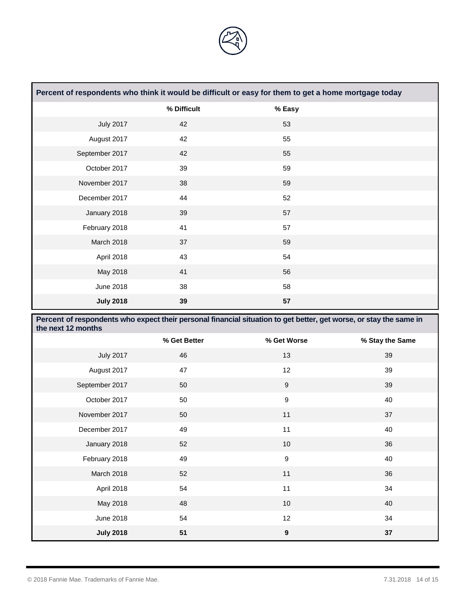

| Percent of respondents who think it would be difficult or easy for them to get a home mortgage today |             |        |  |
|------------------------------------------------------------------------------------------------------|-------------|--------|--|
|                                                                                                      | % Difficult | % Easy |  |
| <b>July 2017</b>                                                                                     | 42          | 53     |  |
| August 2017                                                                                          | 42          | 55     |  |
| September 2017                                                                                       | 42          | 55     |  |
| October 2017                                                                                         | 39          | 59     |  |
| November 2017                                                                                        | 38          | 59     |  |
| December 2017                                                                                        | 44          | 52     |  |
| January 2018                                                                                         | 39          | 57     |  |
| February 2018                                                                                        | 41          | 57     |  |
| March 2018                                                                                           | 37          | 59     |  |
| April 2018                                                                                           | 43          | 54     |  |
| May 2018                                                                                             | 41          | 56     |  |
| June 2018                                                                                            | 38          | 58     |  |
| <b>July 2018</b>                                                                                     | 39          | 57     |  |

| Percent of respondents who expect their personal financial situation to get better, get worse, or stay the same in<br>the next 12 months |              |                  |                 |
|------------------------------------------------------------------------------------------------------------------------------------------|--------------|------------------|-----------------|
|                                                                                                                                          | % Get Better | % Get Worse      | % Stay the Same |
| <b>July 2017</b>                                                                                                                         | 46           | 13               | 39              |
| August 2017                                                                                                                              | 47           | 12               | 39              |
| September 2017                                                                                                                           | 50           | $\boldsymbol{9}$ | 39              |
| October 2017                                                                                                                             | 50           | $\boldsymbol{9}$ | 40              |
| November 2017                                                                                                                            | 50           | 11               | 37              |
| December 2017                                                                                                                            | 49           | 11               | 40              |
| January 2018                                                                                                                             | 52           | 10               | 36              |
| February 2018                                                                                                                            | 49           | $\boldsymbol{9}$ | 40              |
| March 2018                                                                                                                               | 52           | 11               | 36              |
| April 2018                                                                                                                               | 54           | 11               | 34              |
| May 2018                                                                                                                                 | 48           | 10 <sup>1</sup>  | 40              |
| <b>June 2018</b>                                                                                                                         | 54           | 12               | 34              |
| <b>July 2018</b>                                                                                                                         | 51           | $\boldsymbol{9}$ | 37              |